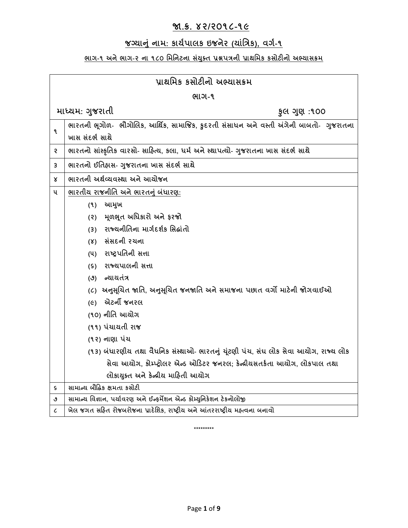# **જા.ક્ર. ૪૨/૨૦૧૮-૧૯**

# **જગ્યાનું નામ: કાયયપાલક ઇજનેર (યાુંત્રિક), વર્ય-૧**

# <u>ભાગ-૧ અને ભાગ-૨ ના ૧૮૦ મિનિટના સંયુક્ત પ્રશ્નપત્રની પ્રાથમિક કસોટીનો અભ્યાસક્રમ</u>

| પ્રાથમિક કસોટીનો અભ્યાસક્રમ |                                                                                        |  |  |  |
|-----------------------------|----------------------------------------------------------------------------------------|--|--|--|
| ભાગ-૧                       |                                                                                        |  |  |  |
|                             | માધ્યમ: ગુજરાતી<br>કુલ ગુણ :૧૦૦                                                        |  |  |  |
| ۹                           | ભારતની ભૂગોળ- ભૌગોલિક, આર્થિક, સામાજિક, કુદરતી સંસાધન અને વસ્તી અંગેની બાબતો- ગુજરાતના |  |  |  |
|                             | ખાસ સંદર્ભ સાથે                                                                        |  |  |  |
| ę.                          | ભારતનો સાંસ્કૃતિક વારસો- સાહિત્ય, કલા, ધર્મ અને સ્થાપત્યો- ગુજરાતના ખાસ સંદર્ભ સાથે    |  |  |  |
| 3                           | ભારતનો ઈતિહ્રાસ- ગુજરાતના ખાસ સંદર્ભ સાથે                                              |  |  |  |
| x                           | ભારતની અર્થવ્યવસ્થા અને આયોજન                                                          |  |  |  |
| ૫                           | <u>ભારતીય રાજનીતિ અને ભારતનું બંધારણ:</u>                                              |  |  |  |
|                             | આમુખ<br>(9)                                                                            |  |  |  |
|                             | મૂળભૂત અધિકારો અને ફરજો<br>(5)                                                         |  |  |  |
|                             | (3) રાજ્યનીતિના માર્ગદર્શક સિદ્ધાંતો                                                   |  |  |  |
|                             | (४) સંસદની રચના                                                                        |  |  |  |
|                             | (૫) રાષ્ટ્રપતિની સત્તા                                                                 |  |  |  |
|                             | (s) રાજ્યપાલની સત્તા                                                                   |  |  |  |
|                             | (૭) ન્યાયતંત્ર                                                                         |  |  |  |
|                             | (૮)  અનુસૂચિત જાતિ, અનુસૂચિત જનજાતિ અને સમાજના પછાત વર્ગો માટેની જોગવાઈઓ               |  |  |  |
|                             | એટર્ની જનરલ<br>$(\epsilon)$                                                            |  |  |  |
|                             | (૧૦) નીતિ આચોગ                                                                         |  |  |  |
|                             | (૧૧) પંચાયતી રાજ                                                                       |  |  |  |
|                             | (૧૨) નાણા પંચ                                                                          |  |  |  |
|                             | (૧૩) બંધારણીય તથા વૈધનિક સંસ્થાઓ- ભારતનું ચૂંટણી પંચ, સંઘ લોક સેવા આયોગ, રાજ્ય લોક     |  |  |  |
|                             | સેવા આયોગ, કોમ્પ્ટ્રોલર એન્ડ ઓડિટર જનરલ; કેન્દ્રીયસતર્કતા આયોગ, લોકપાલ તથા             |  |  |  |
|                             | લોકાયુક્ત અને કેન્દ્રીય માહિતી આયોગ                                                    |  |  |  |
| $\mathsf s$                 | સામાન્ય બૌદ્ધિક ક્ષમતા કસોટી                                                           |  |  |  |
| ٯ                           | સામાન્ચ વિજ્ઞાન, પર્યાવરણ અને ઈન્ફર્મેશન એન્ડ કોમ્યુનિકેશન ટેકનોલોજી                   |  |  |  |
| $\epsilon$                  | ખેલ જગત સહિત રોજબરોજના પ્રાદેશિક, રાષ્ટ્રીય અને આંતરરાષ્ટ્રીય મહ્ત્વના બનાવો           |  |  |  |

**\*\*\*\*\*\*\*\*\***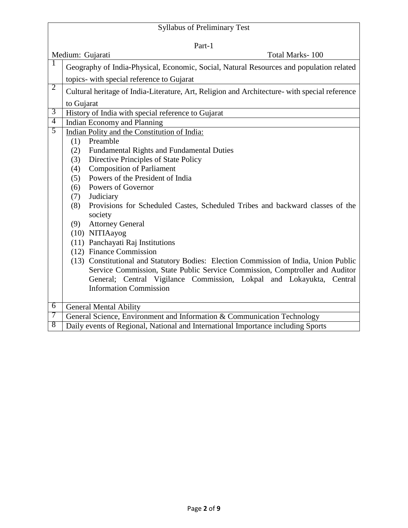| <b>Syllabus of Preliminary Test</b> |                                                                                               |  |  |  |
|-------------------------------------|-----------------------------------------------------------------------------------------------|--|--|--|
| Part-1                              |                                                                                               |  |  |  |
| Medium: Gujarati<br>Total Marks-100 |                                                                                               |  |  |  |
| 1                                   | Geography of India-Physical, Economic, Social, Natural Resources and population related       |  |  |  |
|                                     | topics- with special reference to Gujarat                                                     |  |  |  |
| $\overline{2}$                      | Cultural heritage of India-Literature, Art, Religion and Architecture- with special reference |  |  |  |
|                                     | to Gujarat                                                                                    |  |  |  |
| 3                                   | History of India with special reference to Gujarat                                            |  |  |  |
| $\overline{4}$                      | Indian Economy and Planning                                                                   |  |  |  |
| 5                                   | Indian Polity and the Constitution of India:                                                  |  |  |  |
|                                     | Preamble<br>(1)                                                                               |  |  |  |
|                                     | (2)<br><b>Fundamental Rights and Fundamental Duties</b>                                       |  |  |  |
|                                     | Directive Principles of State Policy<br>(3)                                                   |  |  |  |
|                                     | <b>Composition of Parliament</b><br>(4)                                                       |  |  |  |
|                                     | Powers of the President of India<br>(5)                                                       |  |  |  |
|                                     | Powers of Governor<br>(6)                                                                     |  |  |  |
|                                     | Judiciary<br>(7)                                                                              |  |  |  |
|                                     | Provisions for Scheduled Castes, Scheduled Tribes and backward classes of the<br>(8)          |  |  |  |
|                                     | society                                                                                       |  |  |  |
|                                     | <b>Attorney General</b><br>(9)                                                                |  |  |  |
|                                     | (10) NITIAayog                                                                                |  |  |  |
|                                     | (11) Panchayati Raj Institutions                                                              |  |  |  |
|                                     | (12) Finance Commission                                                                       |  |  |  |
|                                     | (13) Constitutional and Statutory Bodies: Election Commission of India, Union Public          |  |  |  |
|                                     | Service Commission, State Public Service Commission, Comptroller and Auditor                  |  |  |  |
|                                     | General; Central Vigilance Commission, Lokpal and Lokayukta, Central                          |  |  |  |
|                                     | <b>Information Commission</b>                                                                 |  |  |  |
|                                     |                                                                                               |  |  |  |
| $\overline{6}$                      | <b>General Mental Ability</b>                                                                 |  |  |  |
| 7                                   | General Science, Environment and Information & Communication Technology                       |  |  |  |
| 8                                   | Daily events of Regional, National and International Importance including Sports              |  |  |  |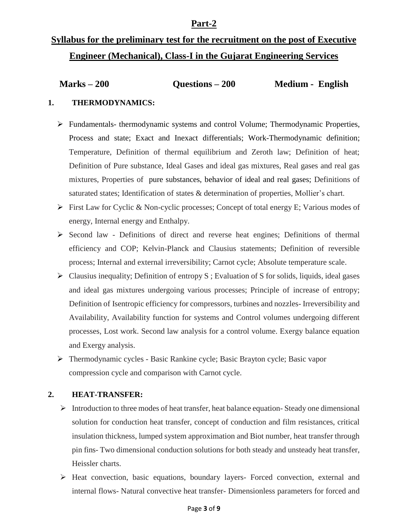### **Part-2**

# **Syllabus for the preliminary test for the recruitment on the post of Executive Engineer (Mechanical), Class-I in the Gujarat Engineering Services**

| $Marks - 200$<br>Questions $-200$ | Medium - English |  |
|-----------------------------------|------------------|--|
|-----------------------------------|------------------|--|

#### **1. THERMODYNAMICS:**

- Fundamentals- thermodynamic systems and control Volume; Thermodynamic Properties, Process and state; Exact and Inexact differentials; Work-Thermodynamic definition; Temperature, Definition of thermal equilibrium and Zeroth law; Definition of heat; Definition of Pure substance, Ideal Gases and ideal gas mixtures, Real gases and real gas mixtures, Properties of pure substances, behavior of ideal and real gases; Definitions of saturated states; Identification of states & determination of properties, Mollier's chart.
- $\triangleright$  First Law for Cyclic & Non-cyclic processes; Concept of total energy E; Various modes of energy, Internal energy and Enthalpy.
- $\triangleright$  Second law Definitions of direct and reverse heat engines; Definitions of thermal efficiency and COP; Kelvin-Planck and Clausius statements; Definition of reversible process; Internal and external irreversibility; Carnot cycle; Absolute temperature scale.
- $\triangleright$  Clausius inequality; Definition of entropy S; Evaluation of S for solids, liquids, ideal gases and ideal gas mixtures undergoing various processes; Principle of increase of entropy; Definition of Isentropic efficiency for compressors, turbines and nozzles- Irreversibility and Availability, Availability function for systems and Control volumes undergoing different processes, Lost work. Second law analysis for a control volume. Exergy balance equation and Exergy analysis.
- Thermodynamic cycles Basic Rankine cycle; Basic Brayton cycle; Basic vapor compression cycle and comparison with Carnot cycle.

#### **2. HEAT-TRANSFER:**

- $\triangleright$  Introduction to three modes of heat transfer, heat balance equation-Steady one dimensional solution for conduction heat transfer, concept of conduction and film resistances, critical insulation thickness, lumped system approximation and Biot number, heat transfer through pin fins- Two dimensional conduction solutions for both steady and unsteady heat transfer, Heissler charts.
- Heat convection, basic equations, boundary layers- Forced convection, external and internal flows- Natural convective heat transfer- Dimensionless parameters for forced and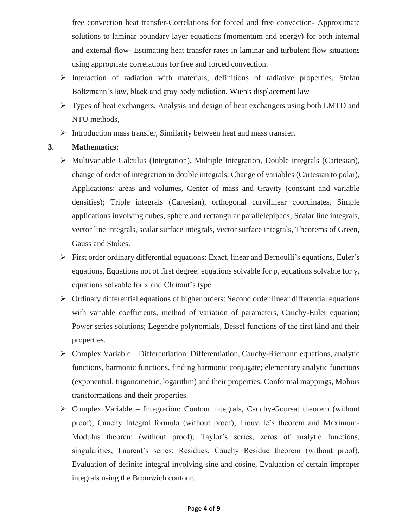free convection heat transfer-Correlations for forced and free convection- Approximate solutions to laminar boundary layer equations (momentum and energy) for both internal and external flow- Estimating heat transfer rates in laminar and turbulent flow situations using appropriate correlations for free and forced convection.

- Interaction of radiation with materials, definitions of radiative properties, Stefan Boltzmann's law, black and gray body radiation, Wien's displacement law
- Types of heat exchangers, Analysis and design of heat exchangers using both LMTD and NTU methods,
- $\triangleright$  Introduction mass transfer, Similarity between heat and mass transfer.

#### **3. Mathematics:**

- $\triangleright$  Multivariable Calculus (Integration), Multiple Integration, Double integrals (Cartesian), change of order of integration in double integrals, Change of variables (Cartesian to polar), Applications: areas and volumes, Center of mass and Gravity (constant and variable densities); Triple integrals (Cartesian), orthogonal curvilinear coordinates, Simple applications involving cubes, sphere and rectangular parallelepipeds; Scalar line integrals, vector line integrals, scalar surface integrals, vector surface integrals, Theorems of Green, Gauss and Stokes.
- First order ordinary differential equations: Exact, linear and Bernoulli's equations, Euler's equations, Equations not of first degree: equations solvable for p, equations solvable for y, equations solvable for x and Clairaut's type.
- $\triangleright$  Ordinary differential equations of higher orders: Second order linear differential equations with variable coefficients, method of variation of parameters, Cauchy-Euler equation; Power series solutions; Legendre polynomials, Bessel functions of the first kind and their properties.
- $\triangleright$  Complex Variable Differentiation: Differentiation, Cauchy-Riemann equations, analytic functions, harmonic functions, finding harmonic conjugate; elementary analytic functions (exponential, trigonometric, logarithm) and their properties; Conformal mappings, Mobius transformations and their properties.
- $\triangleright$  Complex Variable Integration: Contour integrals, Cauchy-Goursat theorem (without proof), Cauchy Integral formula (without proof), Liouville's theorem and Maximum-Modulus theorem (without proof); Taylor's series, zeros of analytic functions, singularities, Laurent's series; Residues, Cauchy Residue theorem (without proof), Evaluation of definite integral involving sine and cosine, Evaluation of certain improper integrals using the Bromwich contour.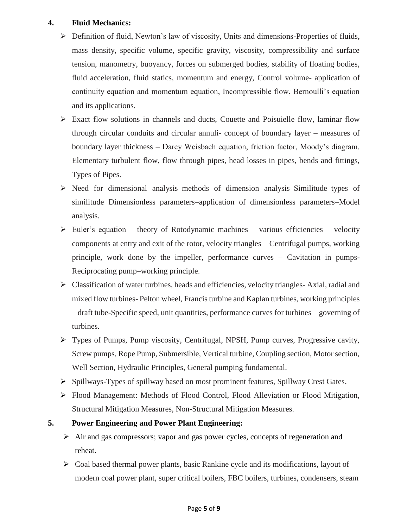#### **4. Fluid Mechanics:**

- Definition of fluid, Newton's law of viscosity, Units and dimensions-Properties of fluids, mass density, specific volume, specific gravity, viscosity, compressibility and surface tension, manometry, buoyancy, forces on submerged bodies, stability of floating bodies, fluid acceleration, fluid statics, momentum and energy, Control volume- application of continuity equation and momentum equation, Incompressible flow, Bernoulli's equation and its applications.
- Exact flow solutions in channels and ducts, Couette and Poisuielle flow, laminar flow through circular conduits and circular annuli- concept of boundary layer – measures of boundary layer thickness – Darcy Weisbach equation, friction factor, Moody's diagram. Elementary turbulent flow, flow through pipes, head losses in pipes, bends and fittings, Types of Pipes.
- $\triangleright$  Need for dimensional analysis–methods of dimension analysis–Similitude–types of similitude Dimensionless parameters–application of dimensionless parameters–Model analysis.
- $\triangleright$  Euler's equation theory of Rotodynamic machines various efficiencies velocity components at entry and exit of the rotor, velocity triangles – Centrifugal pumps, working principle, work done by the impeller, performance curves – Cavitation in pumps-Reciprocating pump–working principle.
- $\triangleright$  Classification of water turbines, heads and efficiencies, velocity triangles- Axial, radial and mixed flow turbines- Pelton wheel, Francis turbine and Kaplan turbines, working principles – draft tube-Specific speed, unit quantities, performance curves for turbines – governing of turbines.
- Types of Pumps, Pump viscosity, Centrifugal, NPSH, Pump curves, Progressive cavity, Screw pumps, Rope Pump, Submersible, Vertical turbine, Coupling section, Motor section, Well Section, Hydraulic Principles, General pumping fundamental.
- Spillways-Types of spillway based on most prominent features, Spillway Crest Gates.
- Flood Management: Methods of Flood Control, Flood Alleviation or Flood Mitigation, Structural Mitigation Measures, Non-Structural Mitigation Measures.

## **5. Power Engineering and Power Plant Engineering:**

- $\triangleright$  Air and gas compressors; vapor and gas power cycles, concepts of regeneration and reheat.
- $\triangleright$  Coal based thermal power plants, basic Rankine cycle and its modifications, layout of modern coal power plant, super critical boilers, FBC boilers, turbines, condensers, steam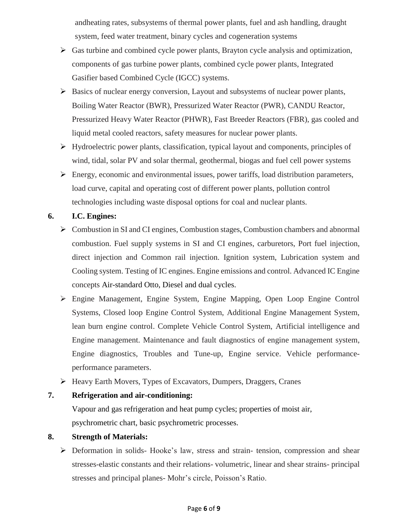andheating rates, subsystems of thermal power plants, fuel and ash handling, draught system, feed water treatment, binary cycles and cogeneration systems

- $\triangleright$  Gas turbine and combined cycle power plants, Brayton cycle analysis and optimization, components of gas turbine power plants, combined cycle power plants, Integrated Gasifier based Combined Cycle (IGCC) systems.
- $\triangleright$  Basics of nuclear energy conversion, Layout and subsystems of nuclear power plants, Boiling Water Reactor (BWR), Pressurized Water Reactor (PWR), CANDU Reactor, Pressurized Heavy Water Reactor (PHWR), Fast Breeder Reactors (FBR), gas cooled and liquid metal cooled reactors, safety measures for nuclear power plants.
- Hydroelectric power plants, classification, typical layout and components, principles of wind, tidal, solar PV and solar thermal, geothermal, biogas and fuel cell power systems
- $\triangleright$  Energy, economic and environmental issues, power tariffs, load distribution parameters, load curve, capital and operating cost of different power plants, pollution control technologies including waste disposal options for coal and nuclear plants.

#### **6. I.C. Engines:**

- $\triangleright$  Combustion in SI and CI engines, Combustion stages, Combustion chambers and abnormal combustion. Fuel supply systems in SI and CI engines, carburetors, Port fuel injection, direct injection and Common rail injection. Ignition system, Lubrication system and Cooling system. Testing of IC engines. Engine emissions and control. Advanced IC Engine concepts Air-standard Otto, Diesel and dual cycles.
- Engine Management, Engine System, Engine Mapping, Open Loop Engine Control Systems, Closed loop Engine Control System, Additional Engine Management System, lean burn engine control. Complete Vehicle Control System, Artificial intelligence and Engine management. Maintenance and fault diagnostics of engine management system, Engine diagnostics, Troubles and Tune-up, Engine service. Vehicle performanceperformance parameters.
- Heavy Earth Movers, Types of Excavators, Dumpers, Draggers, Cranes

#### **7. Refrigeration and air-conditioning:**

Vapour and gas refrigeration and heat pump cycles; properties of moist air, psychrometric chart, basic psychrometric processes.

#### **8. Strength of Materials:**

 Deformation in solids- Hooke's law, stress and strain- tension, compression and shear stresses-elastic constants and their relations- volumetric, linear and shear strains- principal stresses and principal planes- Mohr's circle, Poisson's Ratio.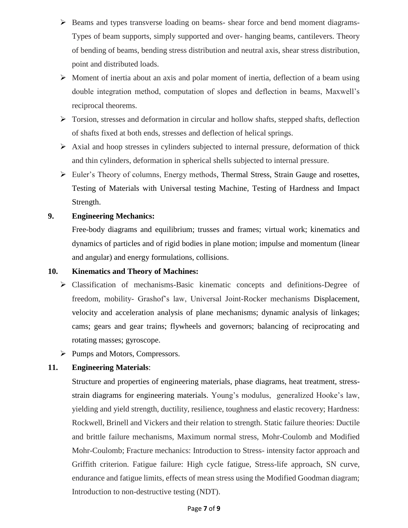- $\triangleright$  Beams and types transverse loading on beams- shear force and bend moment diagrams-Types of beam supports, simply supported and over- hanging beams, cantilevers. Theory of bending of beams, bending stress distribution and neutral axis, shear stress distribution, point and distributed loads.
- $\triangleright$  Moment of inertia about an axis and polar moment of inertia, deflection of a beam using double integration method, computation of slopes and deflection in beams, Maxwell's reciprocal theorems.
- $\triangleright$  Torsion, stresses and deformation in circular and hollow shafts, stepped shafts, deflection of shafts fixed at both ends, stresses and deflection of helical springs.
- $\triangleright$  Axial and hoop stresses in cylinders subjected to internal pressure, deformation of thick and thin cylinders, deformation in spherical shells subjected to internal pressure.
- $\triangleright$  Euler's Theory of columns, Energy methods, Thermal Stress, Strain Gauge and rosettes, Testing of Materials with Universal testing Machine, Testing of Hardness and Impact Strength.

#### **9. Engineering Mechanics:**

Free-body diagrams and equilibrium; trusses and frames; virtual work; kinematics and dynamics of particles and of rigid bodies in plane motion; impulse and momentum (linear and angular) and energy formulations, collisions.

#### **10. Kinematics and Theory of Machines:**

- $\triangleright$  Classification of mechanisms-Basic kinematic concepts and definitions-Degree of freedom, mobility- Grashof's law, Universal Joint-Rocker mechanisms Displacement, velocity and acceleration analysis of plane mechanisms; dynamic analysis of linkages; cams; gears and gear trains; flywheels and governors; balancing of reciprocating and rotating masses; gyroscope.
- Pumps and Motors, Compressors.

## **11. Engineering Materials**:

Structure and properties of engineering materials, phase diagrams, heat treatment, stressstrain diagrams for engineering materials. Young's modulus, generalized Hooke's law, yielding and yield strength, ductility, resilience, toughness and elastic recovery; Hardness: Rockwell, Brinell and Vickers and their relation to strength. Static failure theories: Ductile and brittle failure mechanisms, Maximum normal stress, Mohr-Coulomb and Modified Mohr-Coulomb; Fracture mechanics: Introduction to Stress- intensity factor approach and Griffith criterion. Fatigue failure: High cycle fatigue, Stress-life approach, SN curve, endurance and fatigue limits, effects of mean stress using the Modified Goodman diagram; Introduction to non-destructive testing (NDT).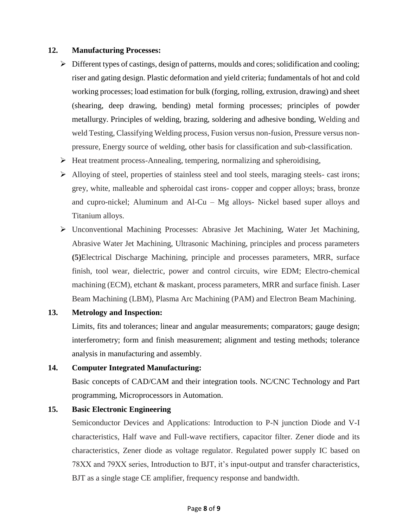#### **12. Manufacturing Processes:**

- $\triangleright$  Different types of castings, design of patterns, moulds and cores; solidification and cooling; riser and gating design. Plastic deformation and yield criteria; fundamentals of hot and cold working processes; load estimation for bulk (forging, rolling, extrusion, drawing) and sheet (shearing, deep drawing, bending) metal forming processes; principles of powder metallurgy. Principles of welding, brazing, soldering and adhesive bonding, Welding and weld Testing, Classifying Welding process, Fusion versus non-fusion, Pressure versus nonpressure, Energy source of welding, other basis for classification and sub-classification.
- $\triangleright$  Heat treatment process-Annealing, tempering, normalizing and spheroidising,
- Alloying of steel, properties of stainless steel and tool steels, maraging steels- cast irons; grey, white, malleable and spheroidal cast irons- copper and copper alloys; brass, bronze and cupro-nickel; Aluminum and Al-Cu – Mg alloys- Nickel based super alloys and Titanium alloys.
- Unconventional Machining Processes: Abrasive Jet Machining, Water Jet Machining, Abrasive Water Jet Machining, Ultrasonic Machining, principles and process parameters **(5)**Electrical Discharge Machining, principle and processes parameters, MRR, surface finish, tool wear, dielectric, power and control circuits, wire EDM; Electro-chemical machining (ECM), etchant & maskant, process parameters, MRR and surface finish. Laser Beam Machining (LBM), Plasma Arc Machining (PAM) and Electron Beam Machining.

#### **13. Metrology and Inspection:**

Limits, fits and tolerances; linear and angular measurements; comparators; gauge design; interferometry; form and finish measurement; alignment and testing methods; tolerance analysis in manufacturing and assembly.

#### **14. Computer Integrated Manufacturing:**

Basic concepts of CAD/CAM and their integration tools. NC/CNC Technology and Part programming, Microprocessors in Automation.

#### **15. Basic Electronic Engineering**

Semiconductor Devices and Applications: Introduction to P-N junction Diode and V-I characteristics, Half wave and Full-wave rectifiers, capacitor filter. Zener diode and its characteristics, Zener diode as voltage regulator. Regulated power supply IC based on 78XX and 79XX series, Introduction to BJT, it's input-output and transfer characteristics, BJT as a single stage CE amplifier, frequency response and bandwidth.